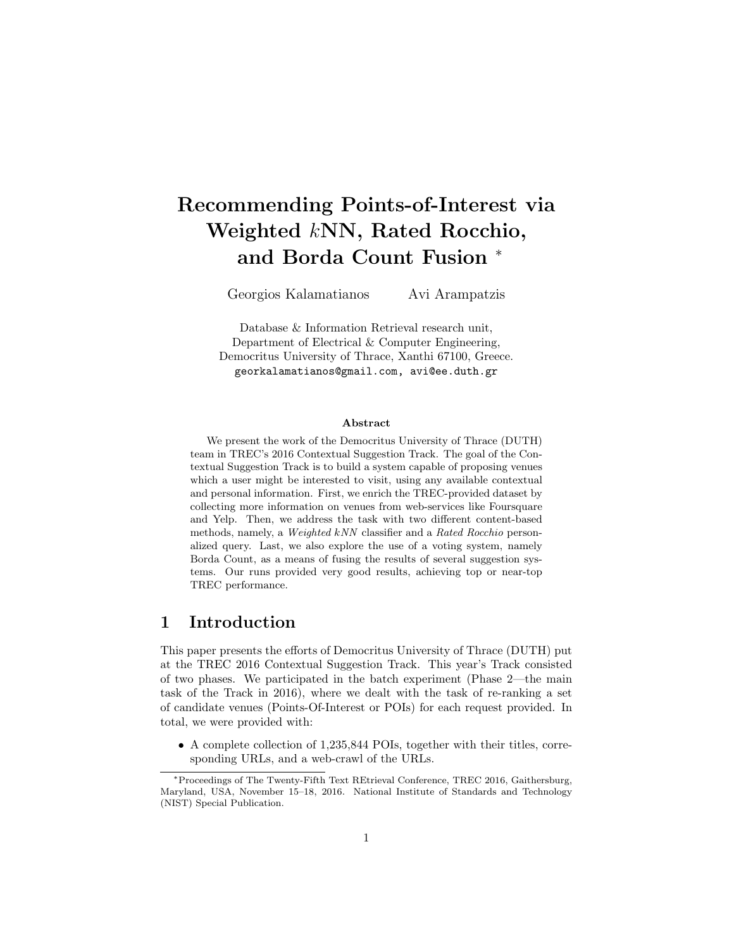# Recommending Points-of-Interest via Weighted kNN, Rated Rocchio, and Borda Count Fusion <sup>∗</sup>

Georgios Kalamatianos Avi Arampatzis

Database & Information Retrieval research unit, Department of Electrical & Computer Engineering, Democritus University of Thrace, Xanthi 67100, Greece. georkalamatianos@gmail.com, avi@ee.duth.gr

#### Abstract

We present the work of the Democritus University of Thrace (DUTH) team in TREC's 2016 Contextual Suggestion Track. The goal of the Contextual Suggestion Track is to build a system capable of proposing venues which a user might be interested to visit, using any available contextual and personal information. First, we enrich the TREC-provided dataset by collecting more information on venues from web-services like Foursquare and Yelp. Then, we address the task with two different content-based methods, namely, a Weighted kNN classifier and a Rated Rocchio personalized query. Last, we also explore the use of a voting system, namely Borda Count, as a means of fusing the results of several suggestion systems. Our runs provided very good results, achieving top or near-top TREC performance.

## 1 Introduction

This paper presents the efforts of Democritus University of Thrace (DUTH) put at the TREC 2016 Contextual Suggestion Track. This year's Track consisted of two phases. We participated in the batch experiment (Phase 2—the main task of the Track in 2016), where we dealt with the task of re-ranking a set of candidate venues (Points-Of-Interest or POIs) for each request provided. In total, we were provided with:

• A complete collection of 1,235,844 POIs, together with their titles, corresponding URLs, and a web-crawl of the URLs.

<sup>∗</sup>Proceedings of The Twenty-Fifth Text REtrieval Conference, TREC 2016, Gaithersburg, Maryland, USA, November 15–18, 2016. National Institute of Standards and Technology (NIST) Special Publication.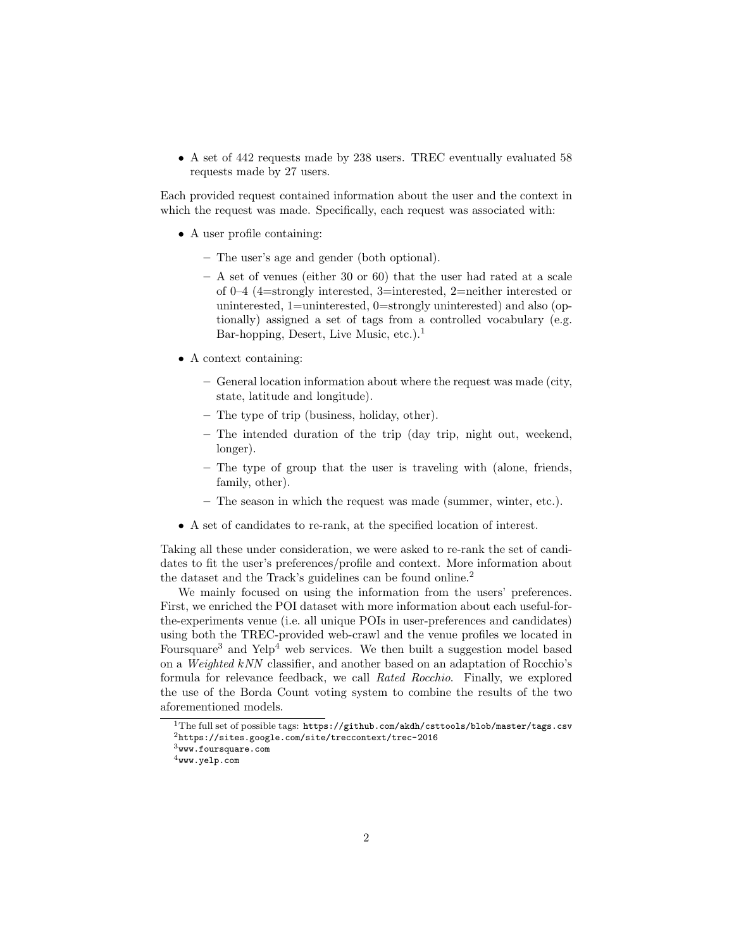• A set of 442 requests made by 238 users. TREC eventually evaluated 58 requests made by 27 users.

Each provided request contained information about the user and the context in which the request was made. Specifically, each request was associated with:

- A user profile containing:
	- The user's age and gender (both optional).
	- A set of venues (either 30 or 60) that the user had rated at a scale of 0–4 (4=strongly interested, 3=interested, 2=neither interested or uninterested, 1=uninterested, 0=strongly uninterested) and also (optionally) assigned a set of tags from a controlled vocabulary (e.g. Bar-hopping, Desert, Live Music, etc.).<sup>1</sup>
- A context containing:
	- General location information about where the request was made (city, state, latitude and longitude).
	- The type of trip (business, holiday, other).
	- The intended duration of the trip (day trip, night out, weekend, longer).
	- The type of group that the user is traveling with (alone, friends, family, other).
	- The season in which the request was made (summer, winter, etc.).
- A set of candidates to re-rank, at the specified location of interest.

Taking all these under consideration, we were asked to re-rank the set of candidates to fit the user's preferences/profile and context. More information about the dataset and the Track's guidelines can be found online.<sup>2</sup>

We mainly focused on using the information from the users' preferences. First, we enriched the POI dataset with more information about each useful-forthe-experiments venue (i.e. all unique POIs in user-preferences and candidates) using both the TREC-provided web-crawl and the venue profiles we located in Foursquare<sup>3</sup> and Yelp<sup>4</sup> web services. We then built a suggestion model based on a Weighted kNN classifier, and another based on an adaptation of Rocchio's formula for relevance feedback, we call Rated Rocchio. Finally, we explored the use of the Borda Count voting system to combine the results of the two aforementioned models.

 $^1\rm{The\ full\ set}$  of possible tags:  ${\tt https://github.com/akdh/csttools/blob/master/tags.csv}$ <sup>2</sup>https://sites.google.com/site/treccontext/trec-2016

 $^3$  www.foursquare.com

 $4$ www.yelp.com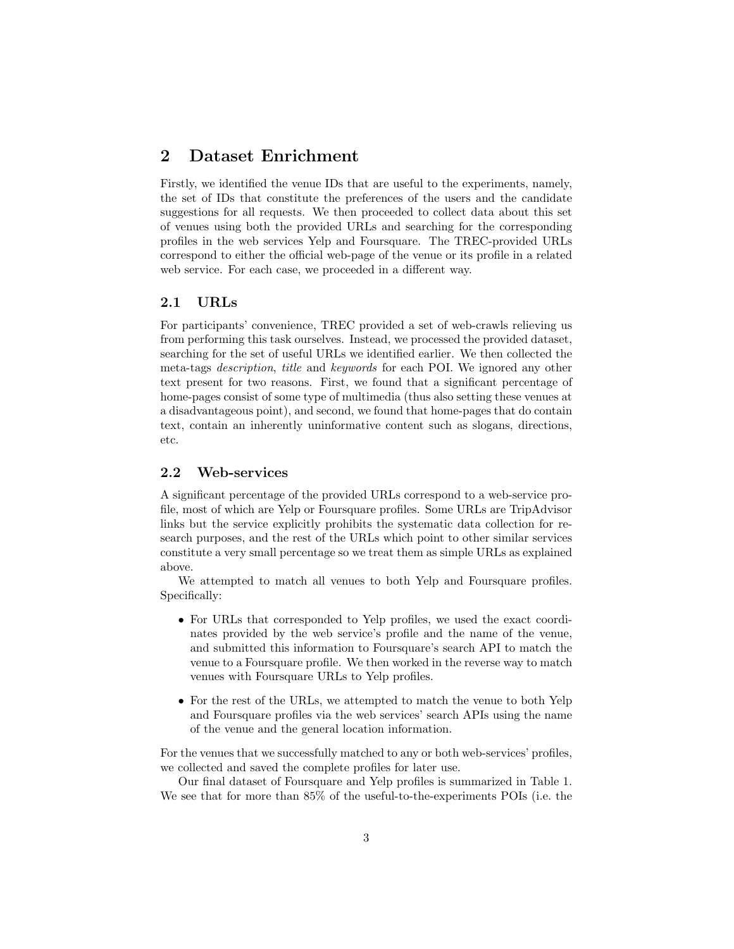## 2 Dataset Enrichment

Firstly, we identified the venue IDs that are useful to the experiments, namely, the set of IDs that constitute the preferences of the users and the candidate suggestions for all requests. We then proceeded to collect data about this set of venues using both the provided URLs and searching for the corresponding profiles in the web services Yelp and Foursquare. The TREC-provided URLs correspond to either the official web-page of the venue or its profile in a related web service. For each case, we proceeded in a different way.

### 2.1 URLs

For participants' convenience, TREC provided a set of web-crawls relieving us from performing this task ourselves. Instead, we processed the provided dataset, searching for the set of useful URLs we identified earlier. We then collected the meta-tags description, title and keywords for each POI. We ignored any other text present for two reasons. First, we found that a significant percentage of home-pages consist of some type of multimedia (thus also setting these venues at a disadvantageous point), and second, we found that home-pages that do contain text, contain an inherently uninformative content such as slogans, directions, etc.

#### 2.2 Web-services

A significant percentage of the provided URLs correspond to a web-service profile, most of which are Yelp or Foursquare profiles. Some URLs are TripAdvisor links but the service explicitly prohibits the systematic data collection for research purposes, and the rest of the URLs which point to other similar services constitute a very small percentage so we treat them as simple URLs as explained above.

We attempted to match all venues to both Yelp and Foursquare profiles. Specifically:

- For URLs that corresponded to Yelp profiles, we used the exact coordinates provided by the web service's profile and the name of the venue, and submitted this information to Foursquare's search API to match the venue to a Foursquare profile. We then worked in the reverse way to match venues with Foursquare URLs to Yelp profiles.
- For the rest of the URLs, we attempted to match the venue to both Yelp and Foursquare profiles via the web services' search APIs using the name of the venue and the general location information.

For the venues that we successfully matched to any or both web-services' profiles, we collected and saved the complete profiles for later use.

Our final dataset of Foursquare and Yelp profiles is summarized in Table 1. We see that for more than 85% of the useful-to-the-experiments POIs (i.e. the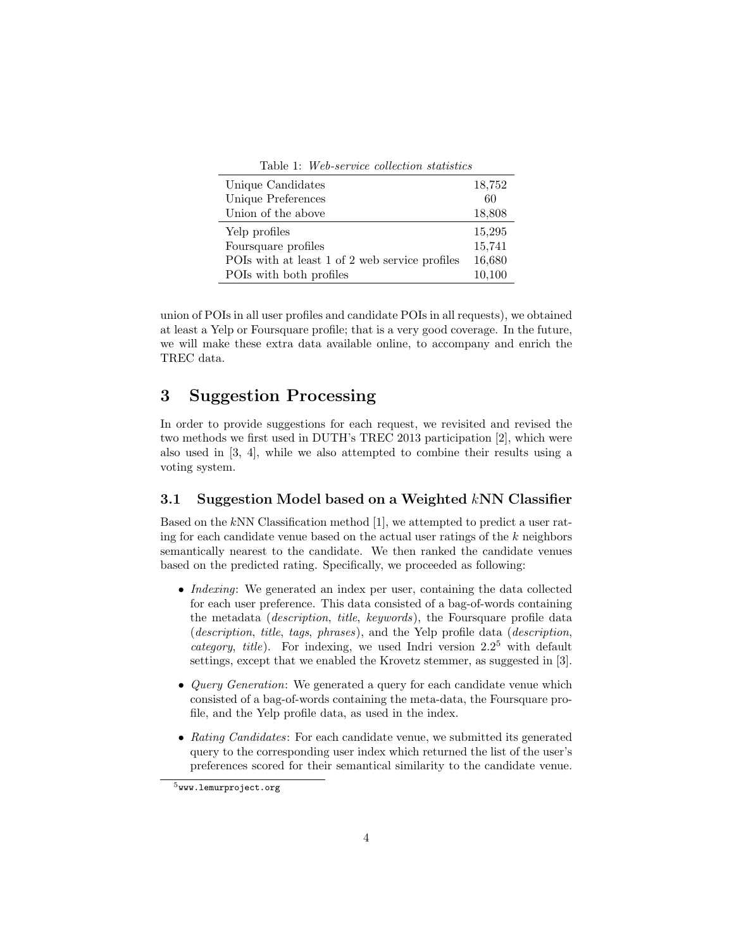| Table 1: Web-service collection statistics |  |  |
|--------------------------------------------|--|--|
|--------------------------------------------|--|--|

| Unique Candidates                              | 18,752 |
|------------------------------------------------|--------|
| Unique Preferences                             | 60     |
| Union of the above                             | 18,808 |
| Yelp profiles                                  | 15,295 |
| Foursquare profiles                            | 15,741 |
| POIs with at least 1 of 2 web service profiles | 16,680 |
| POIs with both profiles                        | 10,100 |

union of POIs in all user profiles and candidate POIs in all requests), we obtained at least a Yelp or Foursquare profile; that is a very good coverage. In the future, we will make these extra data available online, to accompany and enrich the TREC data.

## 3 Suggestion Processing

In order to provide suggestions for each request, we revisited and revised the two methods we first used in DUTH's TREC 2013 participation [2], which were also used in [3, 4], while we also attempted to combine their results using a voting system.

#### 3.1 Suggestion Model based on a Weighted kNN Classifier

Based on the kNN Classification method [1], we attempted to predict a user rating for each candidate venue based on the actual user ratings of the  $k$  neighbors semantically nearest to the candidate. We then ranked the candidate venues based on the predicted rating. Specifically, we proceeded as following:

- *Indexing*: We generated an index per user, containing the data collected for each user preference. This data consisted of a bag-of-words containing the metadata (description, title, keywords), the Foursquare profile data (description, title, tags, phrases), and the Yelp profile data (description, *category, title*). For indexing, we used Indri version  $2.2<sup>5</sup>$  with default settings, except that we enabled the Krovetz stemmer, as suggested in [3].
- *Query Generation*: We generated a query for each candidate venue which consisted of a bag-of-words containing the meta-data, the Foursquare profile, and the Yelp profile data, as used in the index.
- Rating Candidates: For each candidate venue, we submitted its generated query to the corresponding user index which returned the list of the user's preferences scored for their semantical similarity to the candidate venue.

 $5$ www.lemurproject.org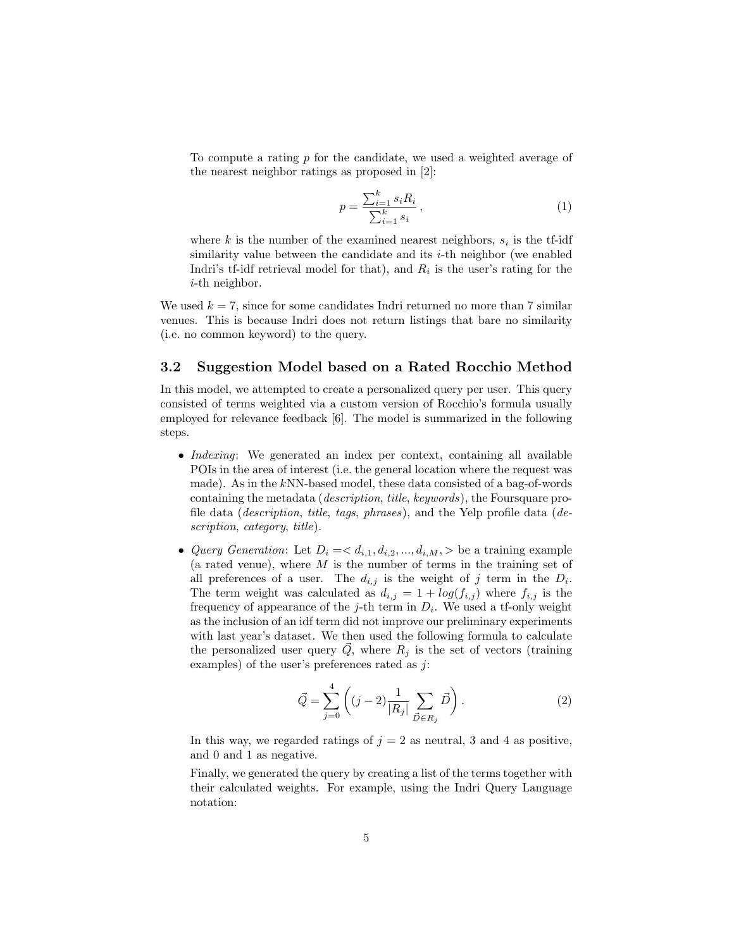To compute a rating p for the candidate, we used a weighted average of the nearest neighbor ratings as proposed in [2]:

$$
p = \frac{\sum_{i=1}^{k} s_i R_i}{\sum_{i=1}^{k} s_i},
$$
\n(1)

where k is the number of the examined nearest neighbors,  $s_i$  is the tf-idf similarity value between the candidate and its  $i$ -th neighbor (we enabled Indri's tf-idf retrieval model for that), and  $R_i$  is the user's rating for the i-th neighbor.

We used  $k = 7$ , since for some candidates Indri returned no more than 7 similar venues. This is because Indri does not return listings that bare no similarity (i.e. no common keyword) to the query.

#### 3.2 Suggestion Model based on a Rated Rocchio Method

In this model, we attempted to create a personalized query per user. This query consisted of terms weighted via a custom version of Rocchio's formula usually employed for relevance feedback [6]. The model is summarized in the following steps.

- *Indexing*: We generated an index per context, containing all available POIs in the area of interest (i.e. the general location where the request was made). As in the kNN-based model, these data consisted of a bag-of-words containing the metadata (description, title, keywords), the Foursquare profile data (description, title, tags, phrases), and the Yelp profile data (description, category, title).
- Query Generation: Let  $D_i = \langle d_{i,1}, d_{i,2}, ..., d_{i,M} \rangle$  be a training example (a rated venue), where  $M$  is the number of terms in the training set of all preferences of a user. The  $d_{i,j}$  is the weight of j term in the  $D_i$ . The term weight was calculated as  $d_{i,j} = 1 + log(f_{i,j})$  where  $f_{i,j}$  is the frequency of appearance of the *j*-th term in  $D_i$ . We used a tf-only weight as the inclusion of an idf term did not improve our preliminary experiments with last year's dataset. We then used the following formula to calculate the personalized user query  $\vec{Q}$ , where  $R_j$  is the set of vectors (training examples) of the user's preferences rated as  $j$ :

$$
\vec{Q} = \sum_{j=0}^{4} \left( (j-2) \frac{1}{|R_j|} \sum_{\vec{D} \in R_j} \vec{D} \right).
$$
 (2)

In this way, we regarded ratings of  $j = 2$  as neutral, 3 and 4 as positive, and 0 and 1 as negative.

Finally, we generated the query by creating a list of the terms together with their calculated weights. For example, using the Indri Query Language notation: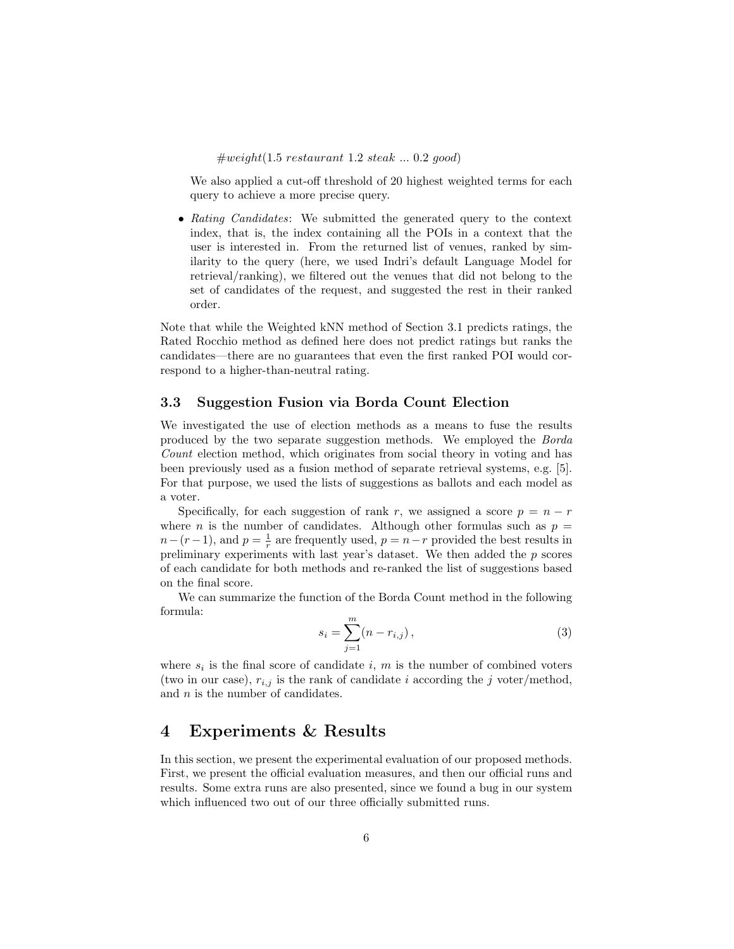$\#weight(1.5 \; restaurant \; 1.2 \; steak \; ... \; 0.2 \; good)$ 

We also applied a cut-off threshold of 20 highest weighted terms for each query to achieve a more precise query.

• Rating Candidates: We submitted the generated query to the context index, that is, the index containing all the POIs in a context that the user is interested in. From the returned list of venues, ranked by similarity to the query (here, we used Indri's default Language Model for retrieval/ranking), we filtered out the venues that did not belong to the set of candidates of the request, and suggested the rest in their ranked order.

Note that while the Weighted kNN method of Section 3.1 predicts ratings, the Rated Rocchio method as defined here does not predict ratings but ranks the candidates—there are no guarantees that even the first ranked POI would correspond to a higher-than-neutral rating.

#### 3.3 Suggestion Fusion via Borda Count Election

We investigated the use of election methods as a means to fuse the results produced by the two separate suggestion methods. We employed the Borda Count election method, which originates from social theory in voting and has been previously used as a fusion method of separate retrieval systems, e.g. [5]. For that purpose, we used the lists of suggestions as ballots and each model as a voter.

Specifically, for each suggestion of rank r, we assigned a score  $p = n - r$ where *n* is the number of candidates. Although other formulas such as  $p =$  $n-(r-1)$ , and  $p=\frac{1}{r}$  are frequently used,  $p=n-r$  provided the best results in preliminary experiments with last year's dataset. We then added the  $p$  scores of each candidate for both methods and re-ranked the list of suggestions based on the final score.

We can summarize the function of the Borda Count method in the following formula:

$$
s_i = \sum_{j=1}^{m} (n - r_{i,j}),
$$
\n(3)

where  $s_i$  is the final score of candidate i, m is the number of combined voters (two in our case),  $r_{i,j}$  is the rank of candidate i according the j voter/method, and  $n$  is the number of candidates.

## 4 Experiments & Results

In this section, we present the experimental evaluation of our proposed methods. First, we present the official evaluation measures, and then our official runs and results. Some extra runs are also presented, since we found a bug in our system which influenced two out of our three officially submitted runs.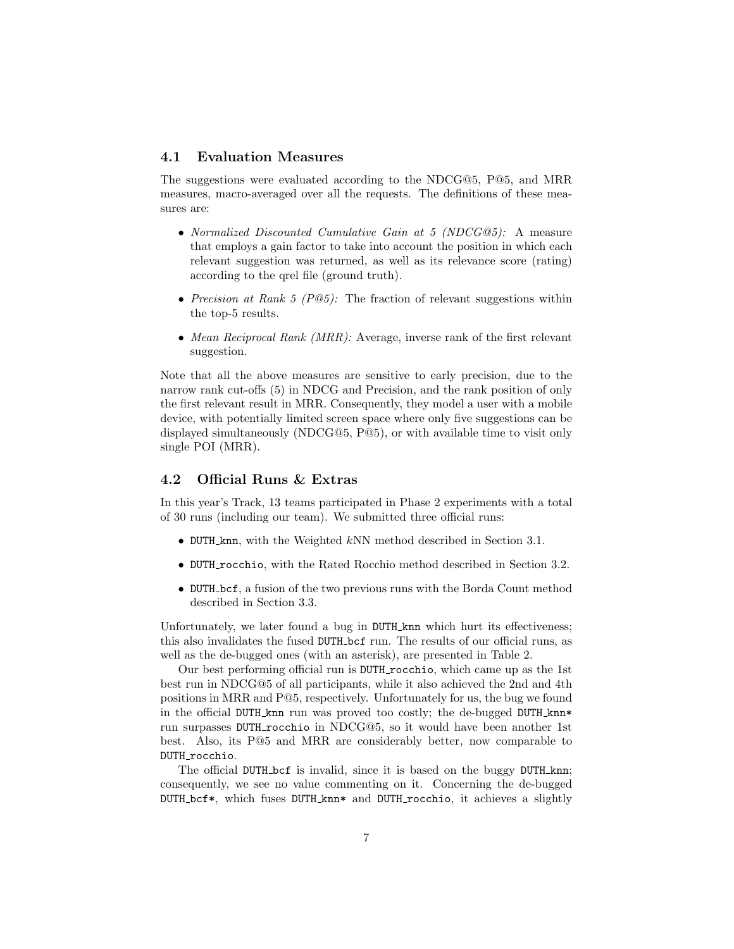#### 4.1 Evaluation Measures

The suggestions were evaluated according to the NDCG@5, P@5, and MRR measures, macro-averaged over all the requests. The definitions of these measures are:

- Normalized Discounted Cumulative Gain at 5 (NDCG@5): A measure that employs a gain factor to take into account the position in which each relevant suggestion was returned, as well as its relevance score (rating) according to the qrel file (ground truth).
- Precision at Rank 5 (P@5): The fraction of relevant suggestions within the top-5 results.
- Mean Reciprocal Rank (MRR): Average, inverse rank of the first relevant suggestion.

Note that all the above measures are sensitive to early precision, due to the narrow rank cut-offs (5) in NDCG and Precision, and the rank position of only the first relevant result in MRR. Consequently, they model a user with a mobile device, with potentially limited screen space where only five suggestions can be displayed simultaneously (NDCG@5, P@5), or with available time to visit only single POI (MRR).

#### 4.2 Official Runs & Extras

In this year's Track, 13 teams participated in Phase 2 experiments with a total of 30 runs (including our team). We submitted three official runs:

- DUTH knn, with the Weighted kNN method described in Section 3.1.
- DUTH rocchio, with the Rated Rocchio method described in Section 3.2.
- DUTH bcf, a fusion of the two previous runs with the Borda Count method described in Section 3.3.

Unfortunately, we later found a bug in DUTH knn which hurt its effectiveness; this also invalidates the fused DUTH bcf run. The results of our official runs, as well as the de-bugged ones (with an asterisk), are presented in Table 2.

Our best performing official run is DUTH rocchio, which came up as the 1st best run in NDCG@5 of all participants, while it also achieved the 2nd and 4th positions in MRR and P@5, respectively. Unfortunately for us, the bug we found in the official DUTH\_knn run was proved too costly; the de-bugged DUTH\_knn\* run surpasses DUTH rocchio in NDCG@5, so it would have been another 1st best. Also, its P@5 and MRR are considerably better, now comparable to DUTH\_rocchio.

The official DUTH<sub>L</sub>bcf is invalid, since it is based on the buggy DUTH<sub>knn</sub>; consequently, we see no value commenting on it. Concerning the de-bugged DUTH bcf\*, which fuses DUTH knn\* and DUTH rocchio, it achieves a slightly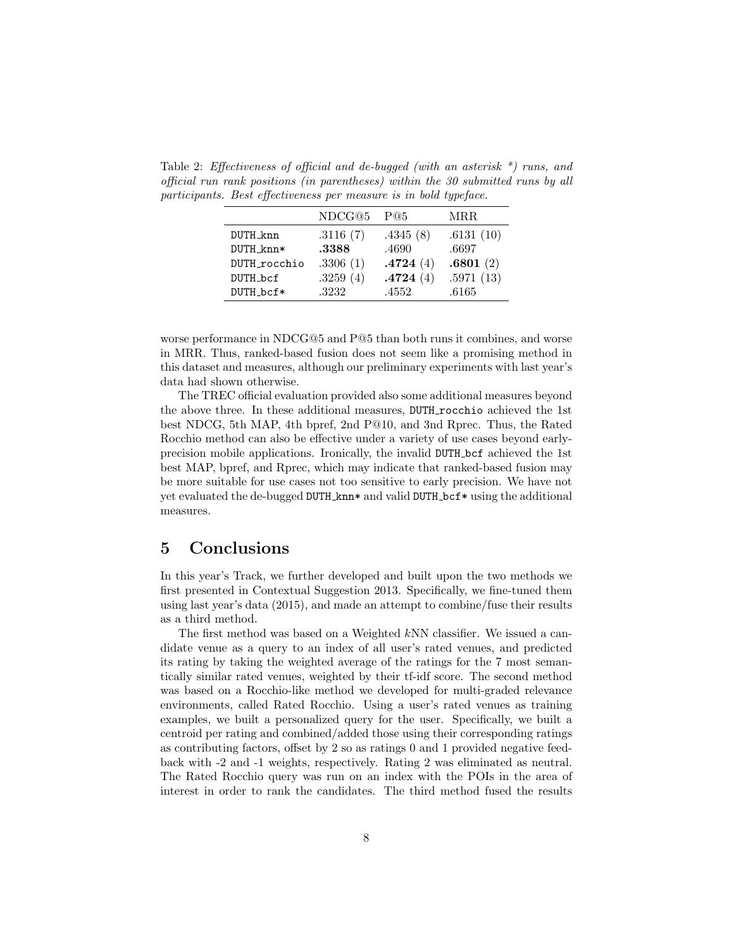Table 2: Effectiveness of official and de-bugged (with an asterisk \*) runs, and official run rank positions (in parentheses) within the 30 submitted runs by all participants. Best effectiveness per measure is in bold typeface.

|              | NDCG@5   | P@5      | MRR.      |
|--------------|----------|----------|-----------|
| DUTH_knn     | .3116(7) | .4345(8) | .6131(10) |
| DUTH knn*    | .3388    | .4690    | .6697     |
| DUTH_rocchio | .3306(1) | .4724(4) | .6801(2)  |
| DUTH_bcf     | .3259(4) | .4724(4) | .5971(13) |
| DUTH_bcf*    | .3232    | .4552    | .6165     |

worse performance in NDCG@5 and P@5 than both runs it combines, and worse in MRR. Thus, ranked-based fusion does not seem like a promising method in this dataset and measures, although our preliminary experiments with last year's data had shown otherwise.

The TREC official evaluation provided also some additional measures beyond the above three. In these additional measures, DUTH rocchio achieved the 1st best NDCG, 5th MAP, 4th bpref, 2nd P@10, and 3nd Rprec. Thus, the Rated Rocchio method can also be effective under a variety of use cases beyond earlyprecision mobile applications. Ironically, the invalid DUTH bcf achieved the 1st best MAP, bpref, and Rprec, which may indicate that ranked-based fusion may be more suitable for use cases not too sensitive to early precision. We have not yet evaluated the de-bugged DUTH knn\* and valid DUTH bcf\* using the additional measures.

## 5 Conclusions

In this year's Track, we further developed and built upon the two methods we first presented in Contextual Suggestion 2013. Specifically, we fine-tuned them using last year's data (2015), and made an attempt to combine/fuse their results as a third method.

The first method was based on a Weighted kNN classifier. We issued a candidate venue as a query to an index of all user's rated venues, and predicted its rating by taking the weighted average of the ratings for the 7 most semantically similar rated venues, weighted by their tf-idf score. The second method was based on a Rocchio-like method we developed for multi-graded relevance environments, called Rated Rocchio. Using a user's rated venues as training examples, we built a personalized query for the user. Specifically, we built a centroid per rating and combined/added those using their corresponding ratings as contributing factors, offset by 2 so as ratings 0 and 1 provided negative feedback with -2 and -1 weights, respectively. Rating 2 was eliminated as neutral. The Rated Rocchio query was run on an index with the POIs in the area of interest in order to rank the candidates. The third method fused the results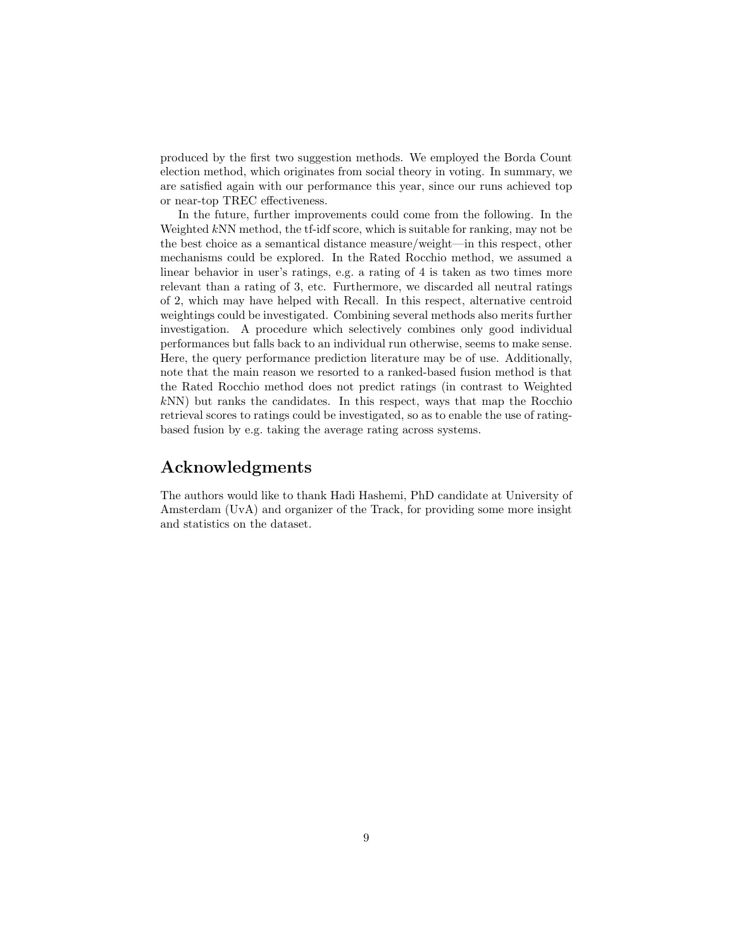produced by the first two suggestion methods. We employed the Borda Count election method, which originates from social theory in voting. In summary, we are satisfied again with our performance this year, since our runs achieved top or near-top TREC effectiveness.

In the future, further improvements could come from the following. In the Weighted kNN method, the tf-idf score, which is suitable for ranking, may not be the best choice as a semantical distance measure/weight—in this respect, other mechanisms could be explored. In the Rated Rocchio method, we assumed a linear behavior in user's ratings, e.g. a rating of 4 is taken as two times more relevant than a rating of 3, etc. Furthermore, we discarded all neutral ratings of 2, which may have helped with Recall. In this respect, alternative centroid weightings could be investigated. Combining several methods also merits further investigation. A procedure which selectively combines only good individual performances but falls back to an individual run otherwise, seems to make sense. Here, the query performance prediction literature may be of use. Additionally, note that the main reason we resorted to a ranked-based fusion method is that the Rated Rocchio method does not predict ratings (in contrast to Weighted kNN) but ranks the candidates. In this respect, ways that map the Rocchio retrieval scores to ratings could be investigated, so as to enable the use of ratingbased fusion by e.g. taking the average rating across systems.

## Acknowledgments

The authors would like to thank Hadi Hashemi, PhD candidate at University of Amsterdam (UvA) and organizer of the Track, for providing some more insight and statistics on the dataset.